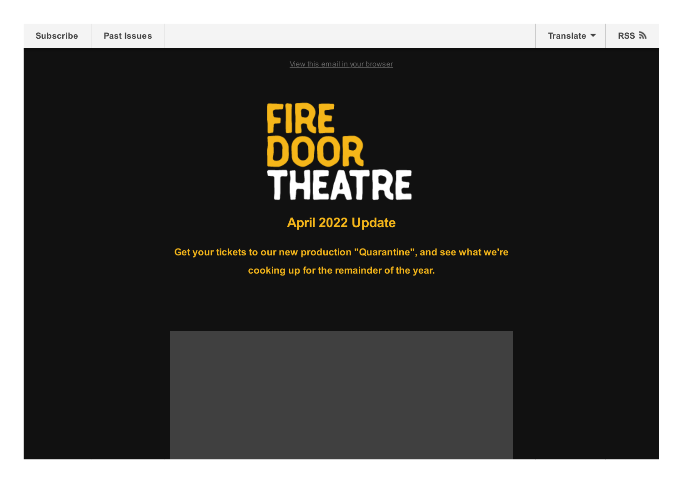| <b>Subscribe</b>         | <b>Past Issues</b> |                                                                         | Translate $\blacktriangledown$ | RSS ลิ |
|--------------------------|--------------------|-------------------------------------------------------------------------|--------------------------------|--------|
|                          |                    | View this email in your browser                                         |                                |        |
|                          |                    | HEATRE<br>$\mathsf{I}$                                                  |                                |        |
| <b>April 2022 Update</b> |                    |                                                                         |                                |        |
|                          |                    | Get your tickets to our new production "Quarantine", and see what we're |                                |        |
|                          |                    | cooking up for the remainder of the year.                               |                                |        |
|                          |                    |                                                                         |                                |        |
|                          |                    |                                                                         |                                |        |
|                          |                    |                                                                         |                                |        |
|                          |                    |                                                                         |                                |        |
|                          |                    |                                                                         |                                |        |
|                          |                    |                                                                         |                                |        |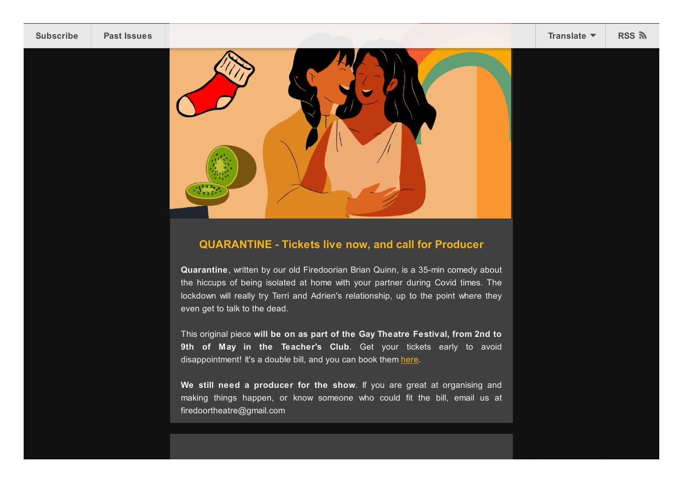

## **QUARANTINE - Tickets live now, and call for Producer**

**Quarantine**, written by our old Firedoorian Brian Quinn, is a 35-min comedy about the hiccups of being isolated at home with your partner during Covid times. The lockdown will really try Terri and Adrien's relationship, up to the point where they even get to talk to the dead.

This original piece **will be on as part of the Gay Theatre Festival, from 2nd to 9th of May in the Teacher's Club**. Get your tickets early to avoid disappointment! It's a double bill, and you can book them [here.](https://gaytheatre.ticketsolve.com/shows/873632291/events/129408516)

**We still need a producer for the show**. If you are great at organising and making things happen, or know someone who could fit the bill, email us at firedoortheatre@gmail.com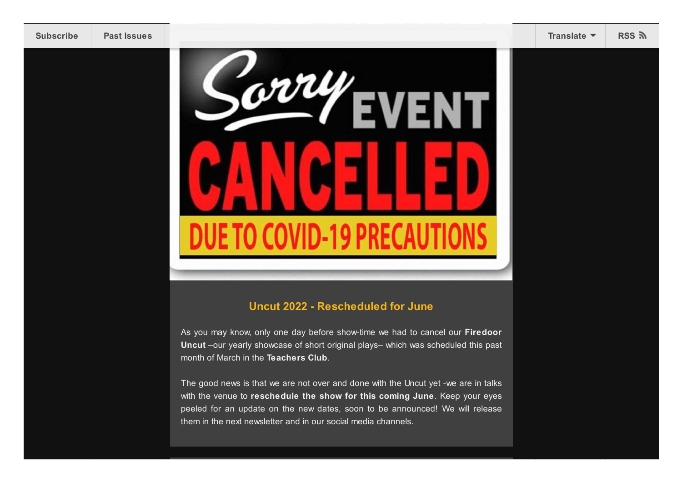

As you may know, only one day before show-time we had to cancel our **Firedoor Uncut** –our yearly showcase of short original plays– which was scheduled this past month of March in the **Teachers Club**.

The good news is that we are not over and done with the Uncut yet -we are in talks with the venue to **reschedule the show for this coming June**. Keep your eyes peeled for an update on the new dates, soon to be announced! We will release them in the next newsletter and in our social media channels.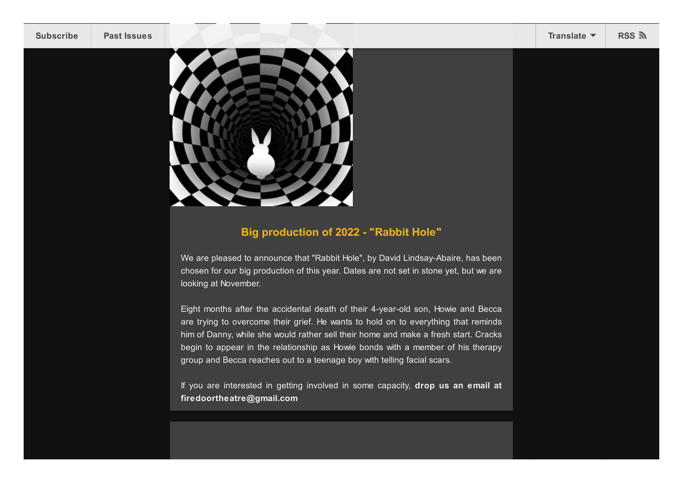



## **Big production of 2022 - "Rabbit Hole"**

We are pleased to announce that "Rabbit Hole", by David Lindsay-Abaire, has been chosen for our big production of this year. Dates are not set in stone yet, but we are looking at November.

Eight months after the accidental death of their 4-year-old son, Howie and Becca are trying to overcome their grief. He wants to hold on to everything that reminds him of Danny, while she would rather sell their home and make a fresh start. Cracks begin to appear in the relationship as Howie bonds with a member of his therapy group and Becca reaches out to a teenage boy with telling facial scars.

If you are interested in getting involved in some capacity, **drop us an email at firedoortheatre@gmail.com**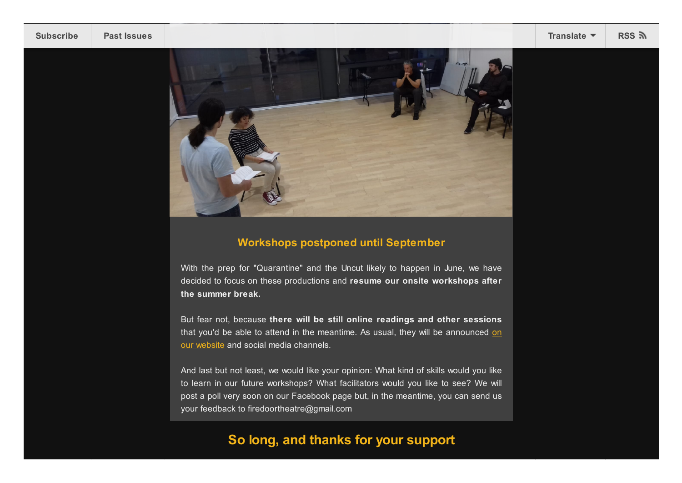

## **Workshops postponed until September**

With the prep for "Quarantine" and the Uncut likely to happen in June, we have decided to focus on these productions and **resume our onsite workshops after the summer break.**

But fear not, because **there will be still online readings and other sessions** that you'd be able to attend in the meantime. As usual, they will be [announced](https://firedoortheatre.com/) on our website and social media channels.

And last but not least, we would like your opinion: What kind of skills would you like to learn in our future workshops? What facilitators would you like to see? We will post a poll very soon on our Facebook page but, in the meantime, you can send us your feedback to firedoortheatre@gmail.com

## **So long, and thanks for your support**